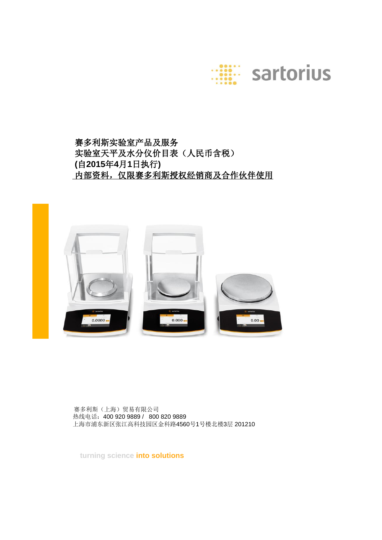

赛多利斯实验室产品及服务 实验室天平及水分仪价目表(人民币含税)  **(**自**2015**年**4**月**1**日执行**)** 内部资料,仅限赛多利斯授权经销商及合作伙伴使用



 上海市浦东新区张江高科技园区金科路4560号1号楼北楼3层 201210 赛多利斯(上海)贸易有限公司 热线电话:400 920 9889 / 800 820 9889

 **turning science into solutions**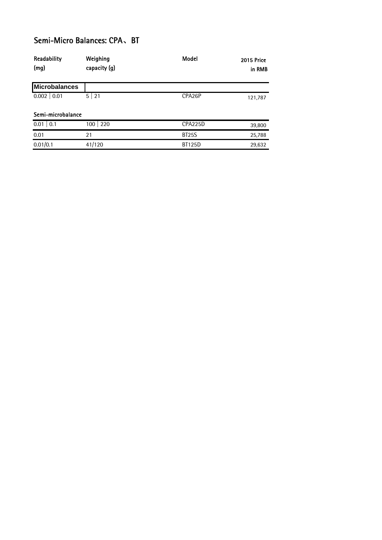#### Semi-Micro Balances: CPA、BT

| Readability<br>(mg)  | Weighing<br>capacity (g) | Model         | <b>2015 Price</b><br>in RMB |
|----------------------|--------------------------|---------------|-----------------------------|
| <b>Microbalances</b> |                          |               |                             |
| $0.002$   0.01       | 5 21                     | CPA26P        | 121,787                     |
| Semi-microbalance    |                          |               |                             |
| $0.01$ 0.1           | $100 \mid 220$           | CPA225D       | 39,800                      |
| 0.01                 | 21                       | <b>BT25S</b>  | 25,788                      |
| 0.01/0.1             | 41/120                   | <b>BT125D</b> | 29,632                      |
|                      |                          |               |                             |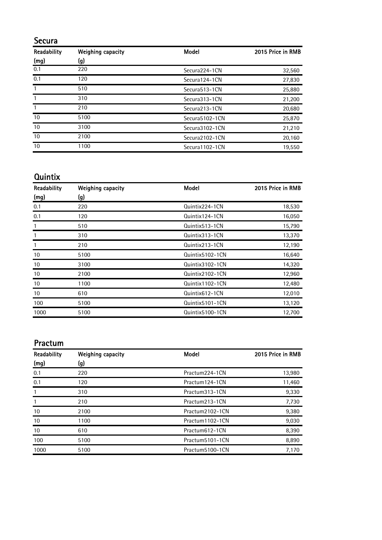#### Secura

| Readability | Weighing capacity | Model           | 2015 Price in RMB |
|-------------|-------------------|-----------------|-------------------|
| (mg)        | (g)               |                 |                   |
| 0.1         | 220               | Secura224-1CN   | 32,560            |
| 0.1         | 120               | Secura 124-1CN  | 27,830            |
|             | 510               | Secura 513-1CN  | 25,880            |
|             | 310               | Secura 313-1CN  | 21,200            |
|             | 210               | Secura213-1CN   | 20,680            |
| 10          | 5100              | Secura 5102-1CN | 25,870            |
| 10          | 3100              | Secura3102-1CN  | 21,210            |
| 10          | 2100              | Secura2102-1CN  | 20,160            |
| 10          | 1100              | Secura 1102-1CN | 19,550            |

#### **Quintix**

| Readability  | Weighing capacity | Model           | 2015 Price in RMB |
|--------------|-------------------|-----------------|-------------------|
| (mg)         | (g)               |                 |                   |
| 0.1          | 220               | Quintix224-1CN  | 18,530            |
| 0.1          | 120               | Quintix124-1CN  | 16,050            |
|              | 510               | Quintix513-1CN  | 15,790            |
|              | 310               | Quintix313-1CN  | 13,370            |
| $\mathbf{1}$ | 210               | Quintix213-1CN  | 12,190            |
| 10           | 5100              | Quintix5102-1CN | 16,640            |
| 10           | 3100              | Quintix3102-1CN | 14,320            |
| 10           | 2100              | Quintix2102-1CN | 12,960            |
| 10           | 1100              | Quintix1102-1CN | 12,480            |
| 10           | 610               | Quintix612-1CN  | 12,010            |
| 100          | 5100              | Quintix5101-1CN | 13,120            |
| 1000         | 5100              | Quintix5100-1CN | 12,700            |

## Practum

| Readability  | Weighing capacity | Model           | 2015 Price in RMB |
|--------------|-------------------|-----------------|-------------------|
| (mg)         | (g)               |                 |                   |
| 0.1          | 220               | Practum224-1CN  | 13,980            |
| 0.1          | 120               | Practum 124-1CN | 11,460            |
| $\mathbf{1}$ | 310               | Practum313-1CN  | 9,330             |
|              | 210               | Practum213-1CN  | 7,730             |
| 10           | 2100              | Practum2102-1CN | 9,380             |
| 10           | 1100              | Practum1102-1CN | 9,030             |
| 10           | 610               | Practum612-1CN  | 8,390             |
| 100          | 5100              | Practum5101-1CN | 8,890             |
| 1000         | 5100              | Practum5100-1CN | 7,170             |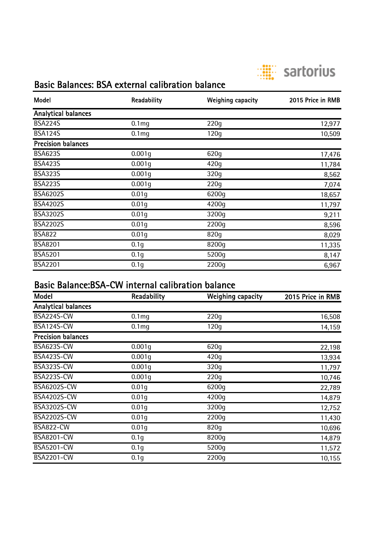

# Basic Balances: BSA external calibration balance

| Model                     | Readability       | Weighing capacity | 2015 Price in RMB |
|---------------------------|-------------------|-------------------|-------------------|
| Analytical balances       |                   |                   |                   |
| <b>BSA224S</b>            | 0.1 <sub>mq</sub> | 220q              | 12,977            |
| <b>BSA124S</b>            | 0.1 <sub>mg</sub> | 120q              | 10,509            |
| <b>Precision balances</b> |                   |                   |                   |
| <b>BSA623S</b>            | 0.001q            | 620g              | 17,476            |
| <b>BSA423S</b>            | 0.001q            | 420q              | 11,784            |
| <b>BSA323S</b>            | 0.001q            | 320q              | 8,562             |
| <b>BSA223S</b>            | 0.001q            | 220q              | 7,074             |
| <b>BSA6202S</b>           | 0.01q             | 6200g             | 18,657            |
| <b>BSA4202S</b>           | 0.01q             | 4200g             | 11,797            |
| <b>BSA3202S</b>           | 0.01q             | 3200g             | 9,211             |
| <b>BSA2202S</b>           | 0.01q             | 2200q             | 8,596             |
| <b>BSA822</b>             | 0.01q             | 820g              | 8,029             |
| <b>BSA8201</b>            | 0.1q              | 8200q             | 11,335            |
| <b>BSA5201</b>            | 0.1 <sub>g</sub>  | 5200g             | 8,147             |
| <b>BSA2201</b>            | 0.1q              | 2200q             | 6,967             |

## Basic Balance:BSA-CW internal calibration balance

| <b>Model</b>               | Readability       | Weighing capacity | 2015 Price in RMB |
|----------------------------|-------------------|-------------------|-------------------|
| <b>Analytical balances</b> |                   |                   |                   |
| BSA224S-CW                 | 0.1 <sub>mg</sub> | 220g              | 16,508            |
| BSA124S-CW                 | 0.1 <sub>mg</sub> | 120q              | 14,159            |
| <b>Precision balances</b>  |                   |                   |                   |
| BSA623S-CW                 | 0.001q            | 620g              | 22,198            |
| BSA423S-CW                 | 0.001q            | 420q              | 13,934            |
| BSA323S-CW                 | 0.001q            | 320q              | 11,797            |
| BSA223S-CW                 | 0.001q            | 220g              | 10,746            |
| <b>BSA6202S-CW</b>         | 0.01q             | 6200q             | 22,789            |
| <b>BSA4202S-CW</b>         | 0.01q             | 4200g             | 14,879            |
| BSA3202S-CW                | 0.01q             | 3200q             | 12,752            |
| <b>BSA2202S-CW</b>         | 0.01q             | 2200g             | 11,430            |
| <b>BSA822-CW</b>           | 0.01q             | 820q              | 10,696            |
| <b>BSA8201-CW</b>          | 0.1q              | 8200q             | 14,879            |
| <b>BSA5201-CW</b>          | 0.1 <sub>g</sub>  | 5200g             | 11,572            |
| <b>BSA2201-CW</b>          | 0.1q              | 2200q             | 10,155            |